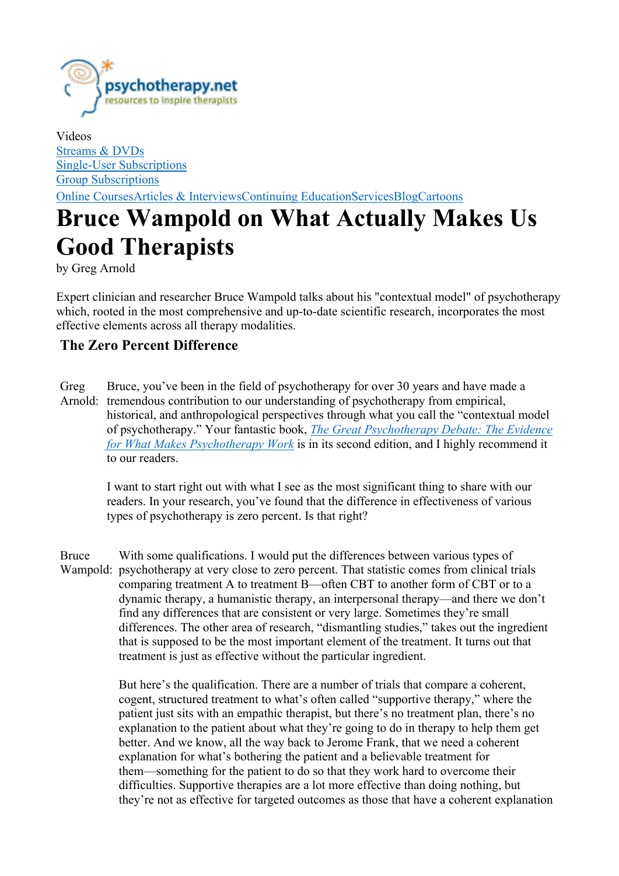

Videos Streams & DVDs Single-User Subscriptions Group Subscriptions Online CoursesArticles & InterviewsContinuing EducationServicesBlogCartoons

# Bruce Wampold on What Actually Makes Us Good Therapists

by Greg Arnold

Expert clinician and researcher Bruce Wampold talks about his "contextual model" of psychotherapy which, rooted in the most comprehensive and up-to-date scientific research, incorporates the most effective elements across all therapy modalities.

## The Zero Percent Difference

Greg Arnold: tremendous contribution to our understanding of psychotherapy from empirical, Bruce, you've been in the field of psychotherapy for over 30 years and have made a historical, and anthropological perspectives through what you call the "contextual model of psychotherapy." Your fantastic book, The Great Psychotherapy Debate: The Evidence for What Makes Psychotherapy Work is in its second edition, and I highly recommend it to our readers.

I want to start right out with what I see as the most significant thing to share with our readers. In your research, you've found that the difference in effectiveness of various types of psychotherapy is zero percent. Is that right?

Bruce Wampold: psychotherapy at very close to zero percent. That statistic comes from clinical trials With some qualifications. I would put the differences between various types of comparing treatment A to treatment B—often CBT to another form of CBT or to a dynamic therapy, a humanistic therapy, an interpersonal therapy—and there we don't find any differences that are consistent or very large. Sometimes they're small differences. The other area of research, "dismantling studies," takes out the ingredient that is supposed to be the most important element of the treatment. It turns out that treatment is just as effective without the particular ingredient.

> But here's the qualification. There are a number of trials that compare a coherent, cogent, structured treatment to what's often called "supportive therapy," where the patient just sits with an empathic therapist, but there's no treatment plan, there's no explanation to the patient about what they're going to do in therapy to help them get better. And we know, all the way back to Jerome Frank, that we need a coherent explanation for what's bothering the patient and a believable treatment for them—something for the patient to do so that they work hard to overcome their difficulties. Supportive therapies are a lot more effective than doing nothing, but they're not as effective for targeted outcomes as those that have a coherent explanation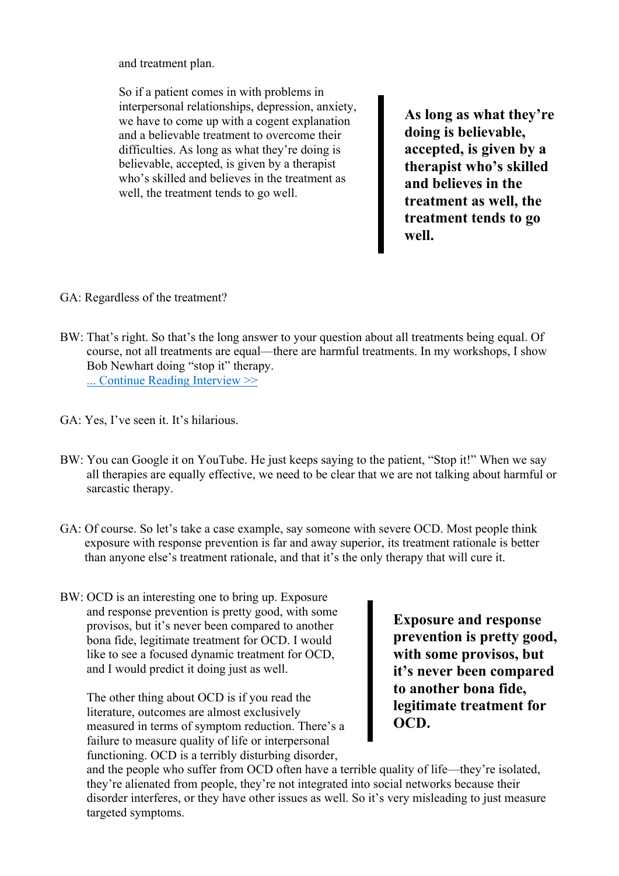and treatment plan.

So if a patient comes in with problems in interpersonal relationships, depression, anxiety, we have to come up with a cogent explanation and a believable treatment to overcome their difficulties. As long as what they're doing is believable, accepted, is given by a therapist who's skilled and believes in the treatment as well, the treatment tends to go well.

As long as what they're doing is believable, accepted, is given by a therapist who's skilled and believes in the treatment as well, the treatment tends to go well.

- GA: Regardless of the treatment?
- BW: That's right. So that's the long answer to your question about all treatments being equal. Of course, not all treatments are equal—there are harmful treatments. In my workshops, I show Bob Newhart doing "stop it" therapy. ... Continue Reading Interview >>
- GA: Yes, I've seen it. It's hilarious.
- BW: You can Google it on YouTube. He just keeps saying to the patient, "Stop it!" When we say all therapies are equally effective, we need to be clear that we are not talking about harmful or sarcastic therapy.
- GA: Of course. So let's take a case example, say someone with severe OCD. Most people think exposure with response prevention is far and away superior, its treatment rationale is better than anyone else's treatment rationale, and that it's the only therapy that will cure it.
- BW: OCD is an interesting one to bring up. Exposure and response prevention is pretty good, with some provisos, but it's never been compared to another bona fide, legitimate treatment for OCD. I would like to see a focused dynamic treatment for OCD, and I would predict it doing just as well.

The other thing about OCD is if you read the literature, outcomes are almost exclusively measured in terms of symptom reduction. There's a failure to measure quality of life or interpersonal functioning. OCD is a terribly disturbing disorder,

Exposure and response prevention is pretty good, with some provisos, but it's never been compared to another bona fide, legitimate treatment for OCD.

and the people who suffer from OCD often have a terrible quality of life—they're isolated, they're alienated from people, they're not integrated into social networks because their disorder interferes, or they have other issues as well. So it's very misleading to just measure targeted symptoms.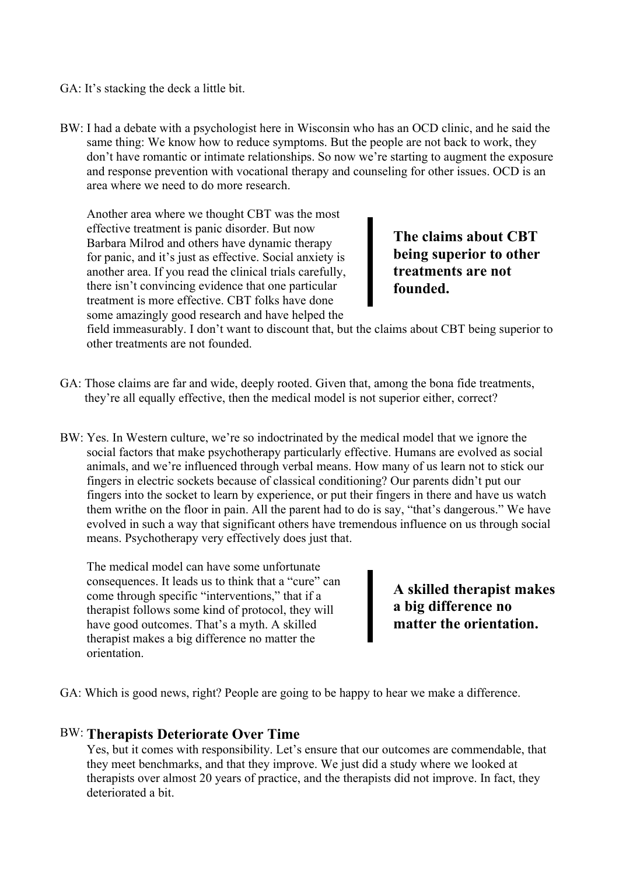GA: It's stacking the deck a little bit.

BW: I had a debate with a psychologist here in Wisconsin who has an OCD clinic, and he said the same thing: We know how to reduce symptoms. But the people are not back to work, they don't have romantic or intimate relationships. So now we're starting to augment the exposure and response prevention with vocational therapy and counseling for other issues. OCD is an area where we need to do more research.

Another area where we thought CBT was the most effective treatment is panic disorder. But now Barbara Milrod and others have dynamic therapy for panic, and it's just as effective. Social anxiety is another area. If you read the clinical trials carefully, there isn't convincing evidence that one particular treatment is more effective. CBT folks have done some amazingly good research and have helped the

The claims about CBT being superior to other treatments are not founded.

field immeasurably. I don't want to discount that, but the claims about CBT being superior to other treatments are not founded.

- GA: Those claims are far and wide, deeply rooted. Given that, among the bona fide treatments, they're all equally effective, then the medical model is not superior either, correct?
- BW: Yes. In Western culture, we're so indoctrinated by the medical model that we ignore the social factors that make psychotherapy particularly effective. Humans are evolved as social animals, and we're influenced through verbal means. How many of us learn not to stick our fingers in electric sockets because of classical conditioning? Our parents didn't put our fingers into the socket to learn by experience, or put their fingers in there and have us watch them writhe on the floor in pain. All the parent had to do is say, "that's dangerous." We have evolved in such a way that significant others have tremendous influence on us through social means. Psychotherapy very effectively does just that.

The medical model can have some unfortunate consequences. It leads us to think that a "cure" can come through specific "interventions," that if a therapist follows some kind of protocol, they will have good outcomes. That's a myth. A skilled therapist makes a big difference no matter the orientation.

A skilled therapist makes a big difference no matter the orientation.

GA: Which is good news, right? People are going to be happy to hear we make a difference.

#### BW: Therapists Deteriorate Over Time

Yes, but it comes with responsibility. Let's ensure that our outcomes are commendable, that they meet benchmarks, and that they improve. We just did a study where we looked at therapists over almost 20 years of practice, and the therapists did not improve. In fact, they deteriorated a bit.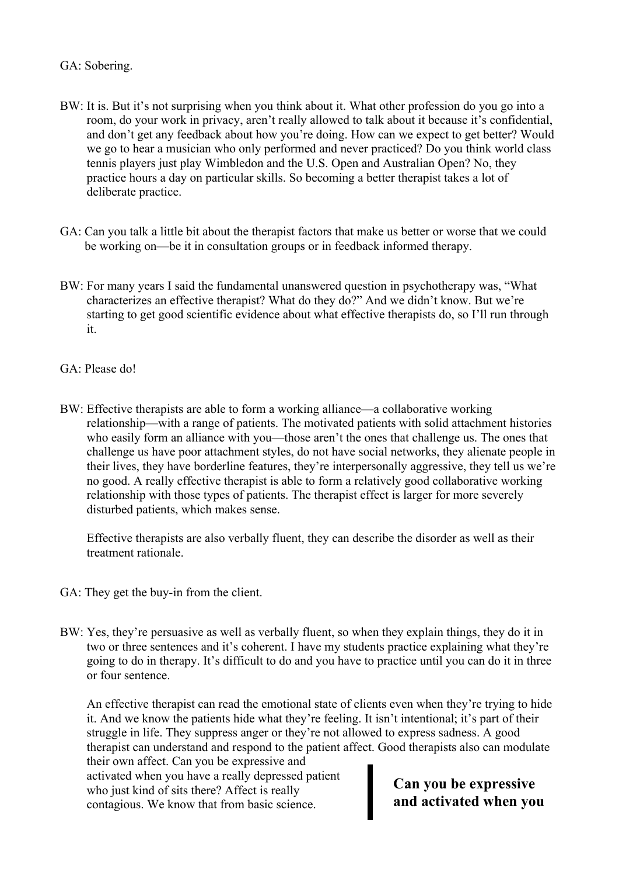#### GA: Sobering.

- BW: It is. But it's not surprising when you think about it. What other profession do you go into a room, do your work in privacy, aren't really allowed to talk about it because it's confidential, and don't get any feedback about how you're doing. How can we expect to get better? Would we go to hear a musician who only performed and never practiced? Do you think world class tennis players just play Wimbledon and the U.S. Open and Australian Open? No, they practice hours a day on particular skills. So becoming a better therapist takes a lot of deliberate practice.
- GA: Can you talk a little bit about the therapist factors that make us better or worse that we could be working on—be it in consultation groups or in feedback informed therapy.
- BW: For many years I said the fundamental unanswered question in psychotherapy was, "What characterizes an effective therapist? What do they do?" And we didn't know. But we're starting to get good scientific evidence about what effective therapists do, so I'll run through it.
- GA: Please do!
- BW: Effective therapists are able to form a working alliance—a collaborative working relationship—with a range of patients. The motivated patients with solid attachment histories who easily form an alliance with you—those aren't the ones that challenge us. The ones that challenge us have poor attachment styles, do not have social networks, they alienate people in their lives, they have borderline features, they're interpersonally aggressive, they tell us we're no good. A really effective therapist is able to form a relatively good collaborative working relationship with those types of patients. The therapist effect is larger for more severely disturbed patients, which makes sense.

Effective therapists are also verbally fluent, they can describe the disorder as well as their treatment rationale.

- GA: They get the buy-in from the client.
- BW: Yes, they're persuasive as well as verbally fluent, so when they explain things, they do it in two or three sentences and it's coherent. I have my students practice explaining what they're going to do in therapy. It's difficult to do and you have to practice until you can do it in three or four sentence.

An effective therapist can read the emotional state of clients even when they're trying to hide it. And we know the patients hide what they're feeling. It isn't intentional; it's part of their struggle in life. They suppress anger or they're not allowed to express sadness. A good therapist can understand and respond to the patient affect. Good therapists also can modulate

their own affect. Can you be expressive and activated when you have a really depressed patient who just kind of sits there? Affect is really contagious. We know that from basic science.

Can you be expressive and activated when you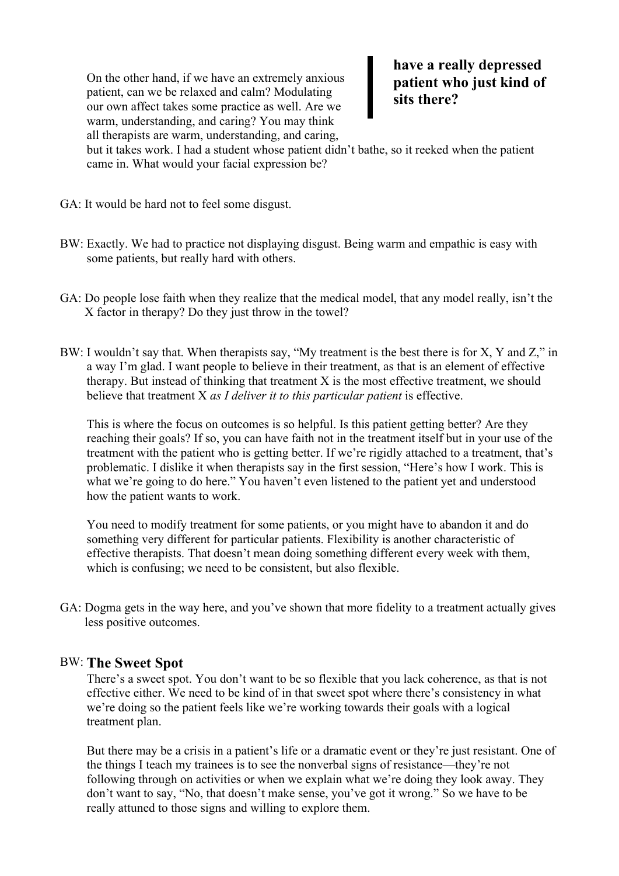On the other hand, if we have an extremely anxious patient, can we be relaxed and calm? Modulating our own affect takes some practice as well. Are we warm, understanding, and caring? You may think all therapists are warm, understanding, and caring,

have a really depressed patient who just kind of sits there?

but it takes work. I had a student whose patient didn't bathe, so it reeked when the patient came in. What would your facial expression be?

- GA: It would be hard not to feel some disgust.
- BW: Exactly. We had to practice not displaying disgust. Being warm and empathic is easy with some patients, but really hard with others.
- GA: Do people lose faith when they realize that the medical model, that any model really, isn't the X factor in therapy? Do they just throw in the towel?
- BW: I wouldn't say that. When therapists say, "My treatment is the best there is for X, Y and Z," in a way I'm glad. I want people to believe in their treatment, as that is an element of effective therapy. But instead of thinking that treatment  $X$  is the most effective treatment, we should believe that treatment X as I deliver it to this particular patient is effective.

This is where the focus on outcomes is so helpful. Is this patient getting better? Are they reaching their goals? If so, you can have faith not in the treatment itself but in your use of the treatment with the patient who is getting better. If we're rigidly attached to a treatment, that's problematic. I dislike it when therapists say in the first session, "Here's how I work. This is what we're going to do here." You haven't even listened to the patient yet and understood how the patient wants to work.

You need to modify treatment for some patients, or you might have to abandon it and do something very different for particular patients. Flexibility is another characteristic of effective therapists. That doesn't mean doing something different every week with them, which is confusing; we need to be consistent, but also flexible.

GA: Dogma gets in the way here, and you've shown that more fidelity to a treatment actually gives less positive outcomes.

### BW: The Sweet Spot

There's a sweet spot. You don't want to be so flexible that you lack coherence, as that is not effective either. We need to be kind of in that sweet spot where there's consistency in what we're doing so the patient feels like we're working towards their goals with a logical treatment plan.

But there may be a crisis in a patient's life or a dramatic event or they're just resistant. One of the things I teach my trainees is to see the nonverbal signs of resistance—they're not following through on activities or when we explain what we're doing they look away. They don't want to say, "No, that doesn't make sense, you've got it wrong." So we have to be really attuned to those signs and willing to explore them.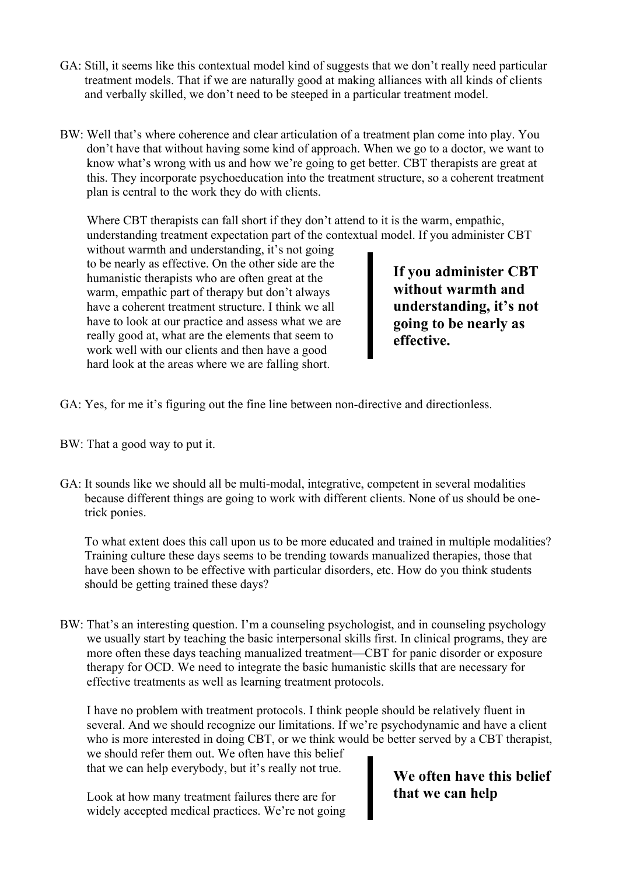- GA: Still, it seems like this contextual model kind of suggests that we don't really need particular treatment models. That if we are naturally good at making alliances with all kinds of clients and verbally skilled, we don't need to be steeped in a particular treatment model.
- BW: Well that's where coherence and clear articulation of a treatment plan come into play. You don't have that without having some kind of approach. When we go to a doctor, we want to know what's wrong with us and how we're going to get better. CBT therapists are great at this. They incorporate psychoeducation into the treatment structure, so a coherent treatment plan is central to the work they do with clients.

Where CBT therapists can fall short if they don't attend to it is the warm, empathic, understanding treatment expectation part of the contextual model. If you administer CBT

without warmth and understanding, it's not going to be nearly as effective. On the other side are the humanistic therapists who are often great at the warm, empathic part of therapy but don't always have a coherent treatment structure. I think we all have to look at our practice and assess what we are really good at, what are the elements that seem to work well with our clients and then have a good hard look at the areas where we are falling short.

If you administer CBT without warmth and understanding, it's not going to be nearly as effective.

- GA: Yes, for me it's figuring out the fine line between non-directive and directionless.
- BW: That a good way to put it.
- GA: It sounds like we should all be multi-modal, integrative, competent in several modalities because different things are going to work with different clients. None of us should be onetrick ponies.

To what extent does this call upon us to be more educated and trained in multiple modalities? Training culture these days seems to be trending towards manualized therapies, those that have been shown to be effective with particular disorders, etc. How do you think students should be getting trained these days?

BW: That's an interesting question. I'm a counseling psychologist, and in counseling psychology we usually start by teaching the basic interpersonal skills first. In clinical programs, they are more often these days teaching manualized treatment—CBT for panic disorder or exposure therapy for OCD. We need to integrate the basic humanistic skills that are necessary for effective treatments as well as learning treatment protocols.

I have no problem with treatment protocols. I think people should be relatively fluent in several. And we should recognize our limitations. If we're psychodynamic and have a client who is more interested in doing CBT, or we think would be better served by a CBT therapist,

we should refer them out. We often have this belief that we can help everybody, but it's really not true.

Look at how many treatment failures there are for widely accepted medical practices. We're not going

# We often have this belief that we can help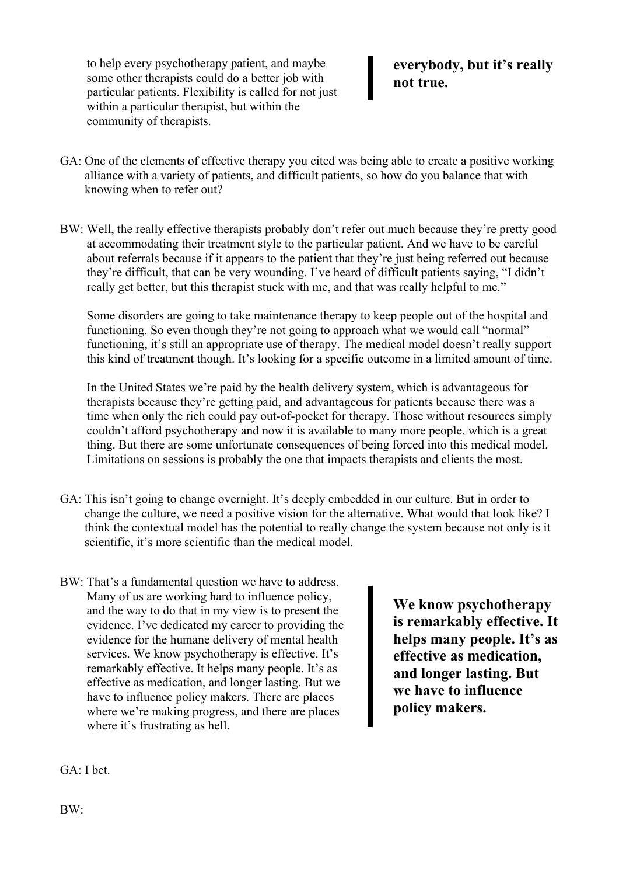to help every psychotherapy patient, and maybe some other therapists could do a better job with particular patients. Flexibility is called for not just within a particular therapist, but within the community of therapists.

## everybody, but it's really not true.

- GA: One of the elements of effective therapy you cited was being able to create a positive working alliance with a variety of patients, and difficult patients, so how do you balance that with knowing when to refer out?
- BW: Well, the really effective therapists probably don't refer out much because they're pretty good at accommodating their treatment style to the particular patient. And we have to be careful about referrals because if it appears to the patient that they're just being referred out because they're difficult, that can be very wounding. I've heard of difficult patients saying, "I didn't really get better, but this therapist stuck with me, and that was really helpful to me."

Some disorders are going to take maintenance therapy to keep people out of the hospital and functioning. So even though they're not going to approach what we would call "normal" functioning, it's still an appropriate use of therapy. The medical model doesn't really support this kind of treatment though. It's looking for a specific outcome in a limited amount of time.

In the United States we're paid by the health delivery system, which is advantageous for therapists because they're getting paid, and advantageous for patients because there was a time when only the rich could pay out-of-pocket for therapy. Those without resources simply couldn't afford psychotherapy and now it is available to many more people, which is a great thing. But there are some unfortunate consequences of being forced into this medical model. Limitations on sessions is probably the one that impacts therapists and clients the most.

- GA: This isn't going to change overnight. It's deeply embedded in our culture. But in order to change the culture, we need a positive vision for the alternative. What would that look like? I think the contextual model has the potential to really change the system because not only is it scientific, it's more scientific than the medical model.
- BW: That's a fundamental question we have to address. Many of us are working hard to influence policy, and the way to do that in my view is to present the evidence. I've dedicated my career to providing the evidence for the humane delivery of mental health services. We know psychotherapy is effective. It's remarkably effective. It helps many people. It's as effective as medication, and longer lasting. But we have to influence policy makers. There are places where we're making progress, and there are places where it's frustrating as hell.

We know psychotherapy is remarkably effective. It helps many people. It's as effective as medication, and longer lasting. But we have to influence policy makers.

GA: I bet.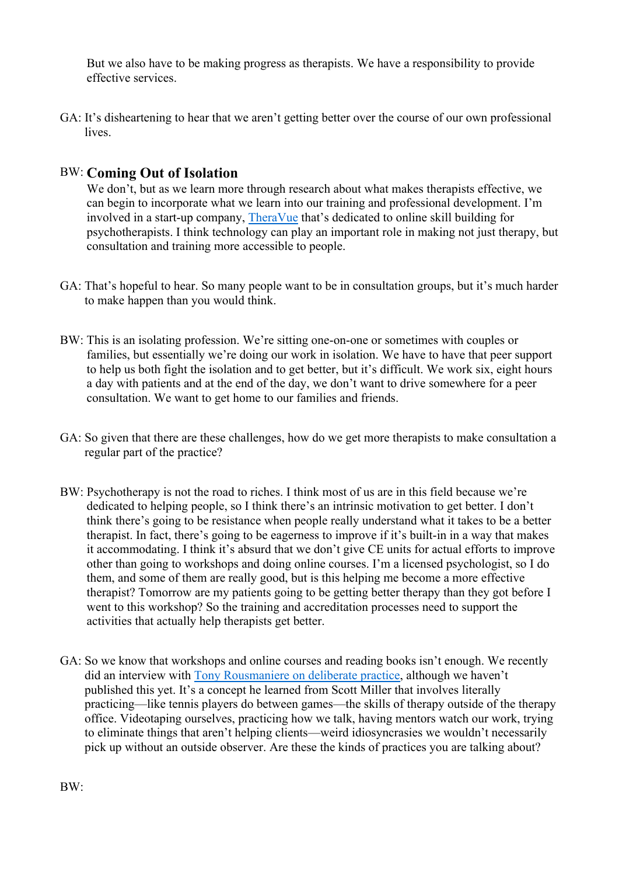But we also have to be making progress as therapists. We have a responsibility to provide effective services.

GA: It's disheartening to hear that we aren't getting better over the course of our own professional lives.

## BW: Coming Out of Isolation

We don't, but as we learn more through research about what makes therapists effective, we can begin to incorporate what we learn into our training and professional development. I'm involved in a start-up company, TheraVue that's dedicated to online skill building for psychotherapists. I think technology can play an important role in making not just therapy, but consultation and training more accessible to people.

- GA: That's hopeful to hear. So many people want to be in consultation groups, but it's much harder to make happen than you would think.
- BW: This is an isolating profession. We're sitting one-on-one or sometimes with couples or families, but essentially we're doing our work in isolation. We have to have that peer support to help us both fight the isolation and to get better, but it's difficult. We work six, eight hours a day with patients and at the end of the day, we don't want to drive somewhere for a peer consultation. We want to get home to our families and friends.
- GA: So given that there are these challenges, how do we get more therapists to make consultation a regular part of the practice?
- BW: Psychotherapy is not the road to riches. I think most of us are in this field because we're dedicated to helping people, so I think there's an intrinsic motivation to get better. I don't think there's going to be resistance when people really understand what it takes to be a better therapist. In fact, there's going to be eagerness to improve if it's built-in in a way that makes it accommodating. I think it's absurd that we don't give CE units for actual efforts to improve other than going to workshops and doing online courses. I'm a licensed psychologist, so I do them, and some of them are really good, but is this helping me become a more effective therapist? Tomorrow are my patients going to be getting better therapy than they got before I went to this workshop? So the training and accreditation processes need to support the activities that actually help therapists get better.
- GA: So we know that workshops and online courses and reading books isn't enough. We recently did an interview with Tony Rousmaniere on deliberate practice, although we haven't published this yet. It's a concept he learned from Scott Miller that involves literally practicing—like tennis players do between games—the skills of therapy outside of the therapy office. Videotaping ourselves, practicing how we talk, having mentors watch our work, trying to eliminate things that aren't helping clients—weird idiosyncrasies we wouldn't necessarily pick up without an outside observer. Are these the kinds of practices you are talking about?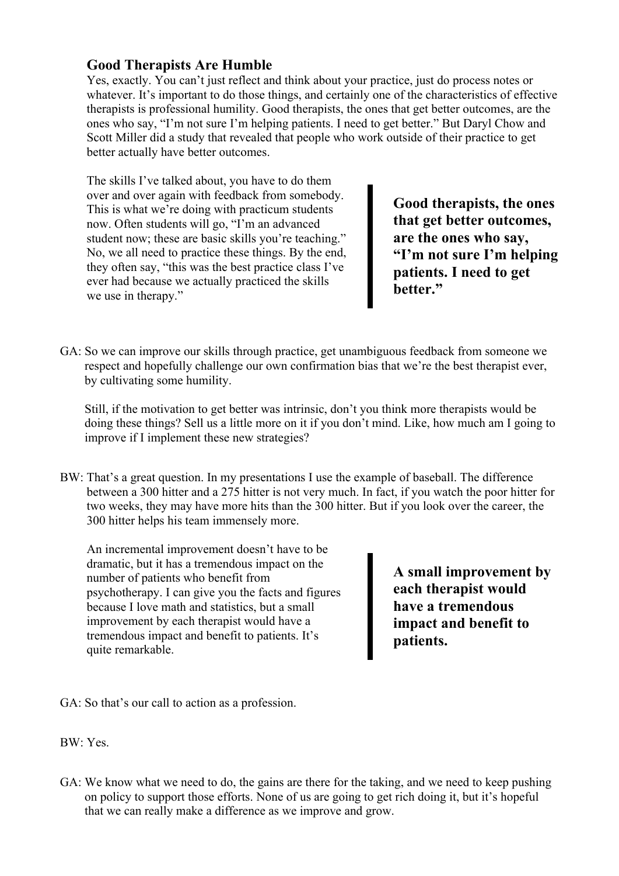## Good Therapists Are Humble

Yes, exactly. You can't just reflect and think about your practice, just do process notes or whatever. It's important to do those things, and certainly one of the characteristics of effective therapists is professional humility. Good therapists, the ones that get better outcomes, are the ones who say, "I'm not sure I'm helping patients. I need to get better." But Daryl Chow and Scott Miller did a study that revealed that people who work outside of their practice to get better actually have better outcomes.

The skills I've talked about, you have to do them over and over again with feedback from somebody. This is what we're doing with practicum students now. Often students will go, "I'm an advanced student now; these are basic skills you're teaching." No, we all need to practice these things. By the end, they often say, "this was the best practice class I've ever had because we actually practiced the skills we use in therapy."

Good therapists, the ones that get better outcomes, are the ones who say, "I'm not sure I'm helping patients. I need to get better."

GA: So we can improve our skills through practice, get unambiguous feedback from someone we respect and hopefully challenge our own confirmation bias that we're the best therapist ever, by cultivating some humility.

Still, if the motivation to get better was intrinsic, don't you think more therapists would be doing these things? Sell us a little more on it if you don't mind. Like, how much am I going to improve if I implement these new strategies?

BW: That's a great question. In my presentations I use the example of baseball. The difference between a 300 hitter and a 275 hitter is not very much. In fact, if you watch the poor hitter for two weeks, they may have more hits than the 300 hitter. But if you look over the career, the 300 hitter helps his team immensely more.

An incremental improvement doesn't have to be dramatic, but it has a tremendous impact on the number of patients who benefit from psychotherapy. I can give you the facts and figures because I love math and statistics, but a small improvement by each therapist would have a tremendous impact and benefit to patients. It's quite remarkable.

A small improvement by each therapist would have a tremendous impact and benefit to patients.

GA: So that's our call to action as a profession.

BW: Yes.

GA: We know what we need to do, the gains are there for the taking, and we need to keep pushing on policy to support those efforts. None of us are going to get rich doing it, but it's hopeful that we can really make a difference as we improve and grow.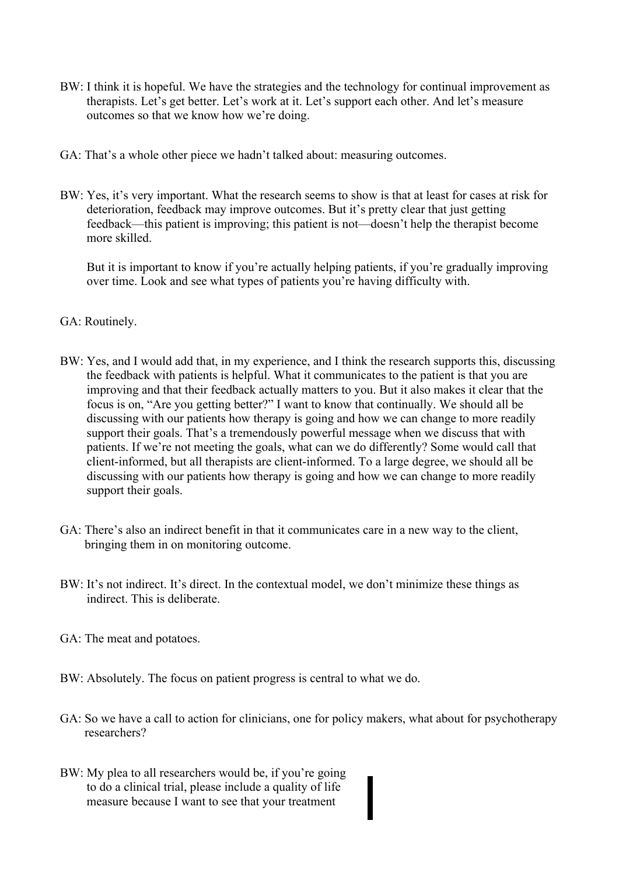- BW: I think it is hopeful. We have the strategies and the technology for continual improvement as therapists. Let's get better. Let's work at it. Let's support each other. And let's measure outcomes so that we know how we're doing.
- GA: That's a whole other piece we hadn't talked about: measuring outcomes.
- BW: Yes, it's very important. What the research seems to show is that at least for cases at risk for deterioration, feedback may improve outcomes. But it's pretty clear that just getting feedback—this patient is improving; this patient is not—doesn't help the therapist become more skilled.

But it is important to know if you're actually helping patients, if you're gradually improving over time. Look and see what types of patients you're having difficulty with.

- GA: Routinely.
- BW: Yes, and I would add that, in my experience, and I think the research supports this, discussing the feedback with patients is helpful. What it communicates to the patient is that you are improving and that their feedback actually matters to you. But it also makes it clear that the focus is on, "Are you getting better?" I want to know that continually. We should all be discussing with our patients how therapy is going and how we can change to more readily support their goals. That's a tremendously powerful message when we discuss that with patients. If we're not meeting the goals, what can we do differently? Some would call that client-informed, but all therapists are client-informed. To a large degree, we should all be discussing with our patients how therapy is going and how we can change to more readily support their goals.
- GA: There's also an indirect benefit in that it communicates care in a new way to the client, bringing them in on monitoring outcome.
- BW: It's not indirect. It's direct. In the contextual model, we don't minimize these things as indirect. This is deliberate.
- GA: The meat and potatoes.
- BW: Absolutely. The focus on patient progress is central to what we do.
- GA: So we have a call to action for clinicians, one for policy makers, what about for psychotherapy researchers?
- BW: My plea to all researchers would be, if you're going to do a clinical trial, please include a quality of life measure because I want to see that your treatment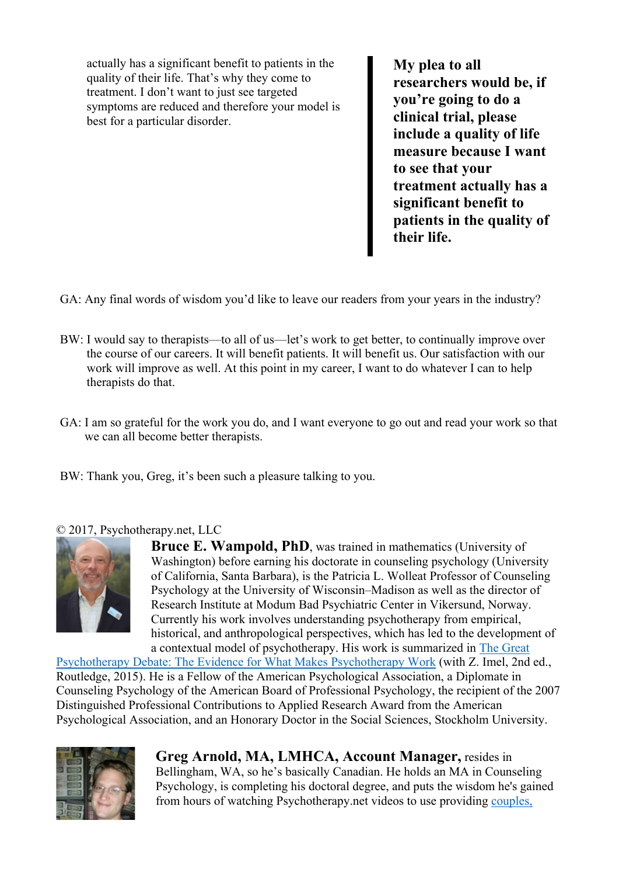actually has a significant benefit to patients in the quality of their life. That's why they come to treatment. I don't want to just see targeted symptoms are reduced and therefore your model is best for a particular disorder.

My plea to all researchers would be, if you're going to do a clinical trial, please include a quality of life measure because I want to see that your treatment actually has a significant benefit to patients in the quality of their life.

GA: Any final words of wisdom you'd like to leave our readers from your years in the industry?

- BW: I would say to therapists—to all of us—let's work to get better, to continually improve over the course of our careers. It will benefit patients. It will benefit us. Our satisfaction with our work will improve as well. At this point in my career, I want to do whatever I can to help therapists do that.
- GA: I am so grateful for the work you do, and I want everyone to go out and read your work so that we can all become better therapists.
- BW: Thank you, Greg, it's been such a pleasure talking to you.

### © 2017, Psychotherapy.net, LLC



Bruce E. Wampold, PhD, was trained in mathematics (University of Washington) before earning his doctorate in counseling psychology (University of California, Santa Barbara), is the Patricia L. Wolleat Professor of Counseling Psychology at the University of Wisconsin–Madison as well as the director of Research Institute at Modum Bad Psychiatric Center in Vikersund, Norway. Currently his work involves understanding psychotherapy from empirical, historical, and anthropological perspectives, which has led to the development of a contextual model of psychotherapy. His work is summarized in The Great

Psychotherapy Debate: The Evidence for What Makes Psychotherapy Work (with Z. Imel, 2nd ed., Routledge, 2015). He is a Fellow of the American Psychological Association, a Diplomate in Counseling Psychology of the American Board of Professional Psychology, the recipient of the 2007 Distinguished Professional Contributions to Applied Research Award from the American Psychological Association, and an Honorary Doctor in the Social Sciences, Stockholm University.



Greg Arnold, MA, LMHCA, Account Manager, resides in Bellingham, WA, so he's basically Canadian. He holds an MA in Counseling Psychology, is completing his doctoral degree, and puts the wisdom he's gained from hours of watching Psychotherapy.net videos to use providing couples,